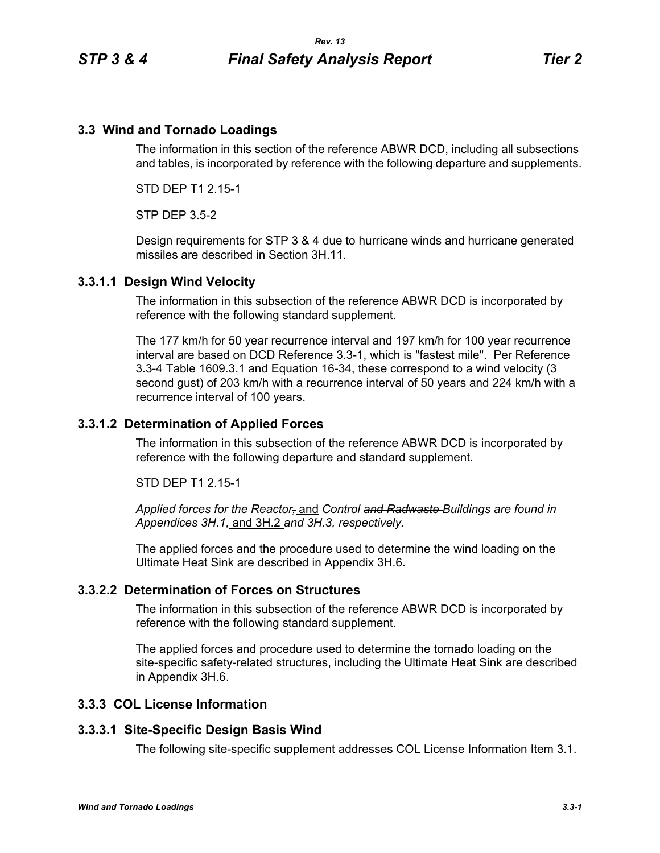## **3.3 Wind and Tornado Loadings**

The information in this section of the reference ABWR DCD, including all subsections and tables, is incorporated by reference with the following departure and supplements.

STD DEP T1 2.15-1

STP DEP 3.5-2

Design requirements for STP 3 & 4 due to hurricane winds and hurricane generated missiles are described in Section 3H.11.

### **3.3.1.1 Design Wind Velocity**

The information in this subsection of the reference ABWR DCD is incorporated by reference with the following standard supplement.

The 177 km/h for 50 year recurrence interval and 197 km/h for 100 year recurrence interval are based on DCD Reference 3.3-1, which is "fastest mile". Per Reference 3.3-4 Table 1609.3.1 and Equation 16-34, these correspond to a wind velocity (3 second gust) of 203 km/h with a recurrence interval of 50 years and 224 km/h with a recurrence interval of 100 years.

### **3.3.1.2 Determination of Applied Forces**

The information in this subsection of the reference ABWR DCD is incorporated by reference with the following departure and standard supplement.

STD DEP T1 2.15-1

*Applied forces for the Reactor,* and *Control and Radwaste Buildings are found in Appendices 3H.1,* and 3H.2 *and 3H.3, respectively.*

The applied forces and the procedure used to determine the wind loading on the Ultimate Heat Sink are described in Appendix 3H.6.

## **3.3.2.2 Determination of Forces on Structures**

The information in this subsection of the reference ABWR DCD is incorporated by reference with the following standard supplement.

The applied forces and procedure used to determine the tornado loading on the site-specific safety-related structures, including the Ultimate Heat Sink are described in Appendix 3H.6.

## **3.3.3 COL License Information**

#### **3.3.3.1 Site-Specific Design Basis Wind**

The following site-specific supplement addresses COL License Information Item 3.1.